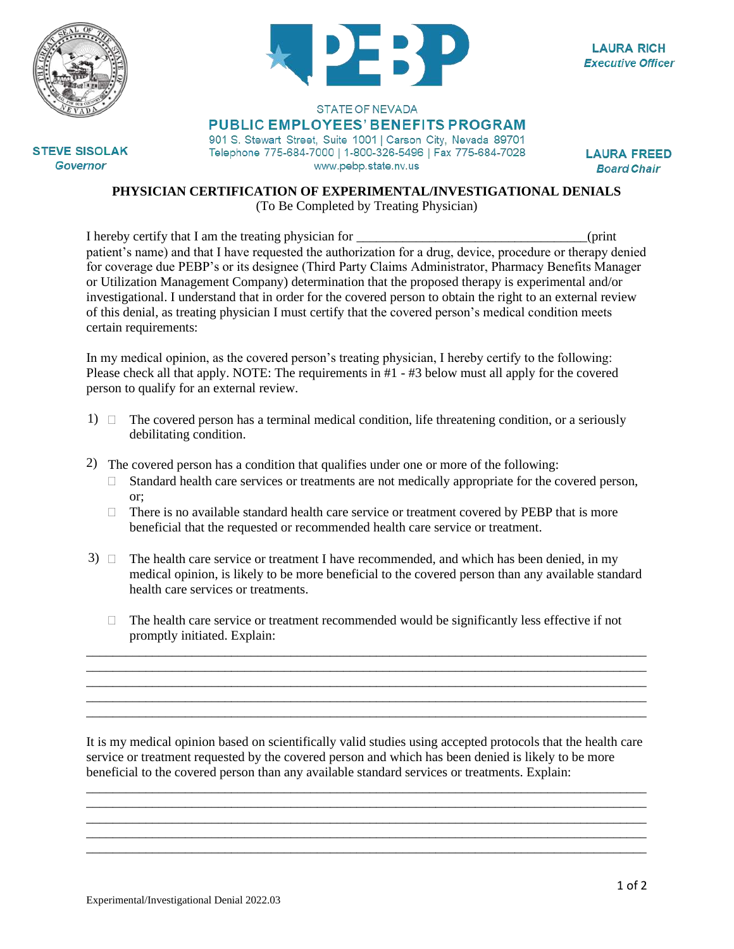



**LAURA RICH Executive Officer** 

## STATE OF NEVADA **PUBLIC EMPLOYEES' BENEFITS PROGRAM**

901 S. Stewart Street, Suite 1001 | Carson City, Nevada 89701 Telephone 775-684-7000 | 1-800-326-5496 | Fax 775-684-7028 www.pebp.state.nv.us

**LAURA FREED Board Chair** 

**PHYSICIAN CERTIFICATION OF EXPERIMENTAL/INVESTIGATIONAL DENIALS**

(To Be Completed by Treating Physician)

I hereby certify that I am the treating physician for \_\_\_\_\_\_\_\_\_\_\_\_\_\_\_\_\_\_\_\_\_\_\_\_\_\_\_\_\_\_\_\_\_\_\_(print patient's name) and that I have requested the authorization for a drug, device, procedure or therapy denied for coverage due PEBP's or its designee (Third Party Claims Administrator, Pharmacy Benefits Manager or Utilization Management Company) determination that the proposed therapy is experimental and/or investigational. I understand that in order for the covered person to obtain the right to an external review of this denial, as treating physician I must certify that the covered person's medical condition meets certain requirements:

In my medical opinion, as the covered person's treating physician, I hereby certify to the following: Please check all that apply. NOTE: The requirements in #1 - #3 below must all apply for the covered person to qualify for an external review.

- 1)  $\Box$  The covered person has a terminal medical condition, life threatening condition, or a seriously debilitating condition.
- 2) The covered person has a condition that qualifies under one or more of the following:
	- $\Box$  Standard health care services or treatments are not medically appropriate for the covered person, or;
	- $\Box$  There is no available standard health care service or treatment covered by PEBP that is more beneficial that the requested or recommended health care service or treatment.
- $3)$   $\Box$  The health care service or treatment I have recommended, and which has been denied, in my medical opinion, is likely to be more beneficial to the covered person than any available standard health care services or treatments.
- $\Box$  The health care service or treatment recommended would be significantly less effective if not promptly initiated. Explain: \_\_\_\_\_\_\_\_\_\_\_\_\_\_\_\_\_\_\_\_\_\_\_\_\_\_\_\_\_\_\_\_\_\_\_\_\_\_\_\_\_\_\_\_\_\_\_\_\_\_\_\_\_\_\_\_\_\_\_\_\_\_\_\_\_\_\_\_\_\_\_\_\_\_\_\_\_\_\_\_\_\_\_\_\_

\_\_\_\_\_\_\_\_\_\_\_\_\_\_\_\_\_\_\_\_\_\_\_\_\_\_\_\_\_\_\_\_\_\_\_\_\_\_\_\_\_\_\_\_\_\_\_\_\_\_\_\_\_\_\_\_\_\_\_\_\_\_\_\_\_\_\_\_\_\_\_\_\_\_\_\_\_\_\_\_\_\_\_\_\_ \_\_\_\_\_\_\_\_\_\_\_\_\_\_\_\_\_\_\_\_\_\_\_\_\_\_\_\_\_\_\_\_\_\_\_\_\_\_\_\_\_\_\_\_\_\_\_\_\_\_\_\_\_\_\_\_\_\_\_\_\_\_\_\_\_\_\_\_\_\_\_\_\_\_\_\_\_\_\_\_\_\_\_\_\_ \_\_\_\_\_\_\_\_\_\_\_\_\_\_\_\_\_\_\_\_\_\_\_\_\_\_\_\_\_\_\_\_\_\_\_\_\_\_\_\_\_\_\_\_\_\_\_\_\_\_\_\_\_\_\_\_\_\_\_\_\_\_\_\_\_\_\_\_\_\_\_\_\_\_\_\_\_\_\_\_\_\_\_\_\_ \_\_\_\_\_\_\_\_\_\_\_\_\_\_\_\_\_\_\_\_\_\_\_\_\_\_\_\_\_\_\_\_\_\_\_\_\_\_\_\_\_\_\_\_\_\_\_\_\_\_\_\_\_\_\_\_\_\_\_\_\_\_\_\_\_\_\_\_\_\_\_\_\_\_\_\_\_\_\_\_\_\_\_\_\_

It is my medical opinion based on scientifically valid studies using accepted protocols that the health care service or treatment requested by the covered person and which has been denied is likely to be more beneficial to the covered person than any available standard services or treatments. Explain:

\_\_\_\_\_\_\_\_\_\_\_\_\_\_\_\_\_\_\_\_\_\_\_\_\_\_\_\_\_\_\_\_\_\_\_\_\_\_\_\_\_\_\_\_\_\_\_\_\_\_\_\_\_\_\_\_\_\_\_\_\_\_\_\_\_\_\_\_\_\_\_\_\_\_\_\_\_\_\_\_\_\_\_\_\_ \_\_\_\_\_\_\_\_\_\_\_\_\_\_\_\_\_\_\_\_\_\_\_\_\_\_\_\_\_\_\_\_\_\_\_\_\_\_\_\_\_\_\_\_\_\_\_\_\_\_\_\_\_\_\_\_\_\_\_\_\_\_\_\_\_\_\_\_\_\_\_\_\_\_\_\_\_\_\_\_\_\_\_\_\_ \_\_\_\_\_\_\_\_\_\_\_\_\_\_\_\_\_\_\_\_\_\_\_\_\_\_\_\_\_\_\_\_\_\_\_\_\_\_\_\_\_\_\_\_\_\_\_\_\_\_\_\_\_\_\_\_\_\_\_\_\_\_\_\_\_\_\_\_\_\_\_\_\_\_\_\_\_\_\_\_\_\_\_\_\_ \_\_\_\_\_\_\_\_\_\_\_\_\_\_\_\_\_\_\_\_\_\_\_\_\_\_\_\_\_\_\_\_\_\_\_\_\_\_\_\_\_\_\_\_\_\_\_\_\_\_\_\_\_\_\_\_\_\_\_\_\_\_\_\_\_\_\_\_\_\_\_\_\_\_\_\_\_\_\_\_\_\_\_\_\_ \_\_\_\_\_\_\_\_\_\_\_\_\_\_\_\_\_\_\_\_\_\_\_\_\_\_\_\_\_\_\_\_\_\_\_\_\_\_\_\_\_\_\_\_\_\_\_\_\_\_\_\_\_\_\_\_\_\_\_\_\_\_\_\_\_\_\_\_\_\_\_\_\_\_\_\_\_\_\_\_\_\_\_\_\_

**STEVE SISOLAK Governor**